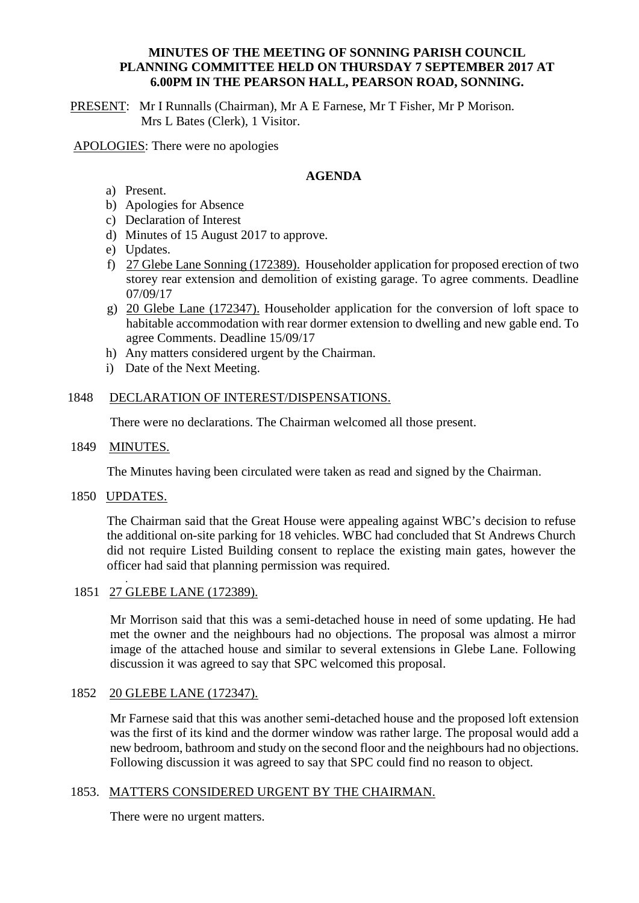### **MINUTES OF THE MEETING OF SONNING PARISH COUNCIL PLANNING COMMITTEE HELD ON THURSDAY 7 SEPTEMBER 2017 AT 6.00PM IN THE PEARSON HALL, PEARSON ROAD, SONNING.**

PRESENT: Mr I Runnalls (Chairman), Mr A E Farnese, Mr T Fisher, Mr P Morison. Mrs L Bates (Clerk), 1 Visitor.

APOLOGIES: There were no apologies

## **AGENDA**

- a) Present.
- b) Apologies for Absence
- c) Declaration of Interest
- d) Minutes of 15 August 2017 to approve.
- e) Updates.
- f) 27 Glebe Lane Sonning (172389). Householder application for proposed erection of two storey rear extension and demolition of existing garage. To agree comments. Deadline 07/09/17
- g) 20 Glebe Lane (172347). Householder application for the conversion of loft space to habitable accommodation with rear dormer extension to dwelling and new gable end. To agree Comments. Deadline 15/09/17
- h) Any matters considered urgent by the Chairman.
- i) Date of the Next Meeting.

### 1848 DECLARATION OF INTEREST/DISPENSATIONS.

There were no declarations. The Chairman welcomed all those present.

### 1849 MINUTES.

The Minutes having been circulated were taken as read and signed by the Chairman.

1850 UPDATES.

The Chairman said that the Great House were appealing against WBC's decision to refuse the additional on-site parking for 18 vehicles. WBC had concluded that St Andrews Church did not require Listed Building consent to replace the existing main gates, however the officer had said that planning permission was required. .

1851 27 GLEBE LANE (172389).

Mr Morrison said that this was a semi-detached house in need of some updating. He had met the owner and the neighbours had no objections. The proposal was almost a mirror image of the attached house and similar to several extensions in Glebe Lane. Following discussion it was agreed to say that SPC welcomed this proposal.

### 1852 20 GLEBE LANE (172347).

Mr Farnese said that this was another semi-detached house and the proposed loft extension was the first of its kind and the dormer window was rather large. The proposal would add a new bedroom, bathroom and study on the second floor and the neighbours had no objections. Following discussion it was agreed to say that SPC could find no reason to object.

### 1853. MATTERS CONSIDERED URGENT BY THE CHAIRMAN.

There were no urgent matters.